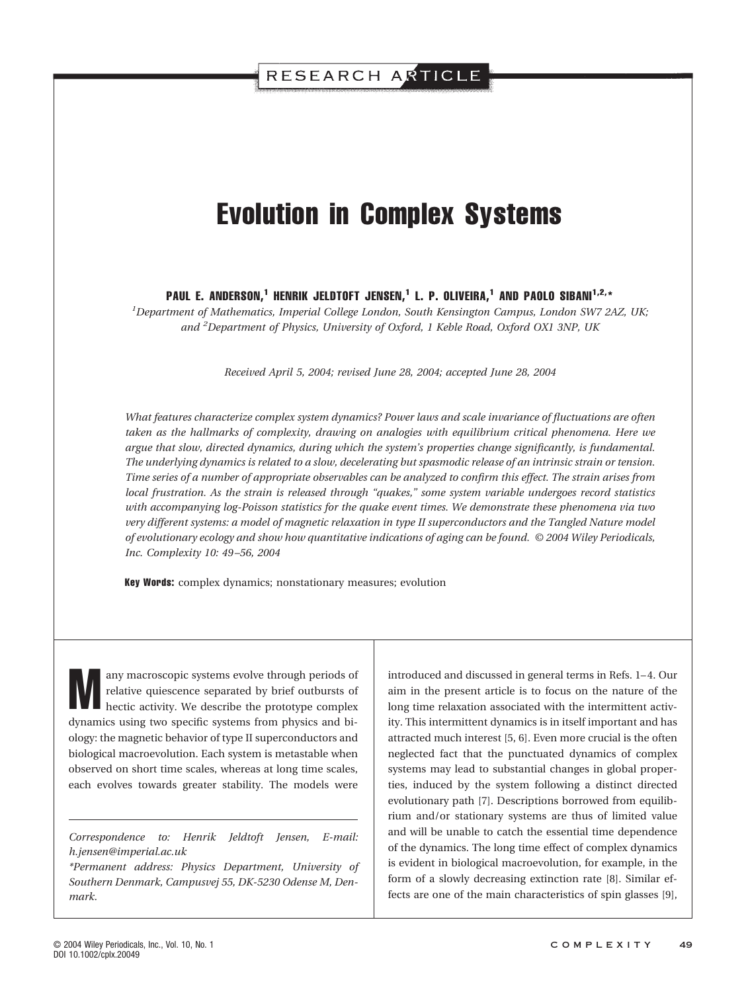# Evolution in Complex Systems

PAUL E. ANDERSON,<sup>1</sup> HENRIK JELDTOFT JENSEN,<sup>1</sup> L. P. OLIVEIRA,<sup>1</sup> AND PAOLO SIBANI<sup>1,2,\*</sup>

*1 Department of Mathematics, Imperial College London, South Kensington Campus, London SW7 2AZ, UK; and <sup>2</sup> Department of Physics, University of Oxford, 1 Keble Road, Oxford OX1 3NP, UK*

*Received April 5, 2004; revised June 28, 2004; accepted June 28, 2004*

*What features characterize complex system dynamics? Power laws and scale invariance of fluctuations are often taken as the hallmarks of complexity, drawing on analogies with equilibrium critical phenomena. Here we argue that slow, directed dynamics, during which the system's properties change significantly, is fundamental. The underlying dynamics is related to a slow, decelerating but spasmodic release of an intrinsic strain or tension. Time series of a number of appropriate observables can be analyzed to confirm this effect. The strain arises from local frustration. As the strain is released through "quakes," some system variable undergoes record statistics with accompanying log-Poisson statistics for the quake event times. We demonstrate these phenomena via two very different systems: a model of magnetic relaxation in type II superconductors and the Tangled Nature model of evolutionary ecology and show how quantitative indications of aging can be found. © 2004 Wiley Periodicals, Inc. Complexity 10: 49 –56, 2004*

Key Words: complex dynamics; nonstationary measures; evolution

any macroscopic systems evolve through periods of relative quiescence separated by brief outbursts of hectic activity. We describe the prototype complex dynamics using two specific systems from physics and biology: the magnetic behavior of type II superconductors and biological macroevolution. Each system is metastable when observed on short time scales, whereas at long time scales, each evolves towards greater stability. The models were

*Correspondence to: Henrik Jeldtoft Jensen, E-mail: h.jensen@imperial.ac.uk*

*\*Permanent address: Physics Department, University of Southern Denmark, Campusvej 55, DK-5230 Odense M, Denmark.*

introduced and discussed in general terms in Refs. 1– 4. Our aim in the present article is to focus on the nature of the long time relaxation associated with the intermittent activity. This intermittent dynamics is in itself important and has attracted much interest [5, 6]. Even more crucial is the often neglected fact that the punctuated dynamics of complex systems may lead to substantial changes in global properties, induced by the system following a distinct directed evolutionary path [7]. Descriptions borrowed from equilibrium and/or stationary systems are thus of limited value and will be unable to catch the essential time dependence of the dynamics. The long time effect of complex dynamics is evident in biological macroevolution, for example, in the form of a slowly decreasing extinction rate [8]. Similar effects are one of the main characteristics of spin glasses [9],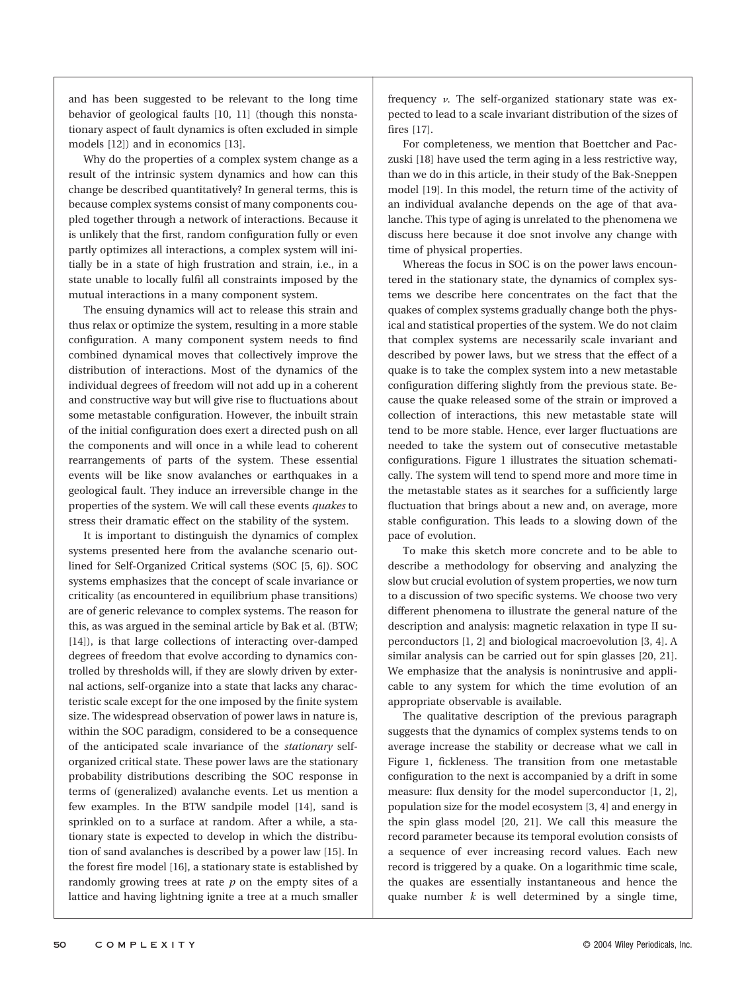and has been suggested to be relevant to the long time behavior of geological faults [10, 11] (though this nonstationary aspect of fault dynamics is often excluded in simple models [12]) and in economics [13].

Why do the properties of a complex system change as a result of the intrinsic system dynamics and how can this change be described quantitatively? In general terms, this is because complex systems consist of many components coupled together through a network of interactions. Because it is unlikely that the first, random configuration fully or even partly optimizes all interactions, a complex system will initially be in a state of high frustration and strain, i.e., in a state unable to locally fulfil all constraints imposed by the mutual interactions in a many component system.

The ensuing dynamics will act to release this strain and thus relax or optimize the system, resulting in a more stable configuration. A many component system needs to find combined dynamical moves that collectively improve the distribution of interactions. Most of the dynamics of the individual degrees of freedom will not add up in a coherent and constructive way but will give rise to fluctuations about some metastable configuration. However, the inbuilt strain of the initial configuration does exert a directed push on all the components and will once in a while lead to coherent rearrangements of parts of the system. These essential events will be like snow avalanches or earthquakes in a geological fault. They induce an irreversible change in the properties of the system. We will call these events *quakes* to stress their dramatic effect on the stability of the system.

It is important to distinguish the dynamics of complex systems presented here from the avalanche scenario outlined for Self-Organized Critical systems (SOC [5, 6]). SOC systems emphasizes that the concept of scale invariance or criticality (as encountered in equilibrium phase transitions) are of generic relevance to complex systems. The reason for this, as was argued in the seminal article by Bak et al. (BTW; [14]), is that large collections of interacting over-damped degrees of freedom that evolve according to dynamics controlled by thresholds will, if they are slowly driven by external actions, self-organize into a state that lacks any characteristic scale except for the one imposed by the finite system size. The widespread observation of power laws in nature is, within the SOC paradigm, considered to be a consequence of the anticipated scale invariance of the *stationary* selforganized critical state. These power laws are the stationary probability distributions describing the SOC response in terms of (generalized) avalanche events. Let us mention a few examples. In the BTW sandpile model [14], sand is sprinkled on to a surface at random. After a while, a stationary state is expected to develop in which the distribution of sand avalanches is described by a power law [15]. In the forest fire model [16], a stationary state is established by randomly growing trees at rate *p* on the empty sites of a lattice and having lightning ignite a tree at a much smaller

frequency  $\nu$ . The self-organized stationary state was expected to lead to a scale invariant distribution of the sizes of fires [17].

For completeness, we mention that Boettcher and Paczuski [18] have used the term aging in a less restrictive way, than we do in this article, in their study of the Bak-Sneppen model [19]. In this model, the return time of the activity of an individual avalanche depends on the age of that avalanche. This type of aging is unrelated to the phenomena we discuss here because it doe snot involve any change with time of physical properties.

Whereas the focus in SOC is on the power laws encountered in the stationary state, the dynamics of complex systems we describe here concentrates on the fact that the quakes of complex systems gradually change both the physical and statistical properties of the system. We do not claim that complex systems are necessarily scale invariant and described by power laws, but we stress that the effect of a quake is to take the complex system into a new metastable configuration differing slightly from the previous state. Because the quake released some of the strain or improved a collection of interactions, this new metastable state will tend to be more stable. Hence, ever larger fluctuations are needed to take the system out of consecutive metastable configurations. Figure 1 illustrates the situation schematically. The system will tend to spend more and more time in the metastable states as it searches for a sufficiently large fluctuation that brings about a new and, on average, more stable configuration. This leads to a slowing down of the pace of evolution.

To make this sketch more concrete and to be able to describe a methodology for observing and analyzing the slow but crucial evolution of system properties, we now turn to a discussion of two specific systems. We choose two very different phenomena to illustrate the general nature of the description and analysis: magnetic relaxation in type II superconductors [1, 2] and biological macroevolution [3, 4]. A similar analysis can be carried out for spin glasses [20, 21]. We emphasize that the analysis is nonintrusive and applicable to any system for which the time evolution of an appropriate observable is available.

The qualitative description of the previous paragraph suggests that the dynamics of complex systems tends to on average increase the stability or decrease what we call in Figure 1, fickleness. The transition from one metastable configuration to the next is accompanied by a drift in some measure: flux density for the model superconductor [1, 2], population size for the model ecosystem [3, 4] and energy in the spin glass model [20, 21]. We call this measure the record parameter because its temporal evolution consists of a sequence of ever increasing record values. Each new record is triggered by a quake. On a logarithmic time scale, the quakes are essentially instantaneous and hence the quake number  $k$  is well determined by a single time,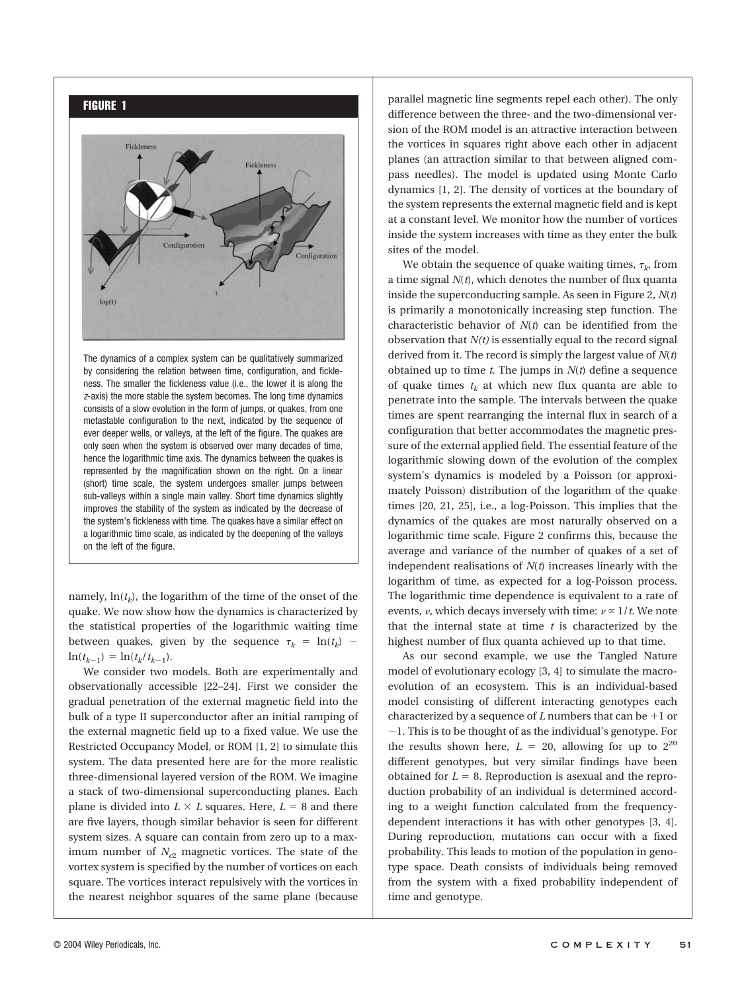

The dynamics of a complex system can be qualitatively summarized by considering the relation between time, configuration, and fickleness. The smaller the fickleness value (i.e., the lower it is along the z-axis) the more stable the system becomes. The long time dynamics consists of a slow evolution in the form of jumps, or quakes, from one metastable configuration to the next, indicated by the sequence of ever deeper wells, or valleys, at the left of the figure. The quakes are only seen when the system is observed over many decades of time, hence the logarithmic time axis. The dynamics between the quakes is represented by the magnification shown on the right. On a linear (short) time scale, the system undergoes smaller jumps between sub-valleys within a single main valley. Short time dynamics slightly improves the stability of the system as indicated by the decrease of the system's fickleness with time. The quakes have a similar effect on a logarithmic time scale, as indicated by the deepening of the valleys on the left of the figure.

namely,  $\ln(t_k)$ , the logarithm of the time of the onset of the quake. We now show how the dynamics is characterized by the statistical properties of the logarithmic waiting time between quakes, given by the sequence  $\tau_k = \ln(t_k)$  –  $\ln(t_{k-1}) = \ln(t_k/t_{k-1}).$ 

We consider two models. Both are experimentally and observationally accessible [22–24]. First we consider the gradual penetration of the external magnetic field into the bulk of a type II superconductor after an initial ramping of the external magnetic field up to a fixed value. We use the Restricted Occupancy Model, or ROM [1, 2] to simulate this system. The data presented here are for the more realistic three-dimensional layered version of the ROM. We imagine a stack of two-dimensional superconducting planes. Each plane is divided into  $L \times L$  squares. Here,  $L = 8$  and there are five layers, though similar behavior is seen for different system sizes. A square can contain from zero up to a maximum number of  $N_{c2}$  magnetic vortices. The state of the vortex system is specified by the number of vortices on each square. The vortices interact repulsively with the vortices in the nearest neighbor squares of the same plane (because

parallel magnetic line segments repel each other). The only difference between the three- and the two-dimensional version of the ROM model is an attractive interaction between the vortices in squares right above each other in adjacent planes (an attraction similar to that between aligned compass needles). The model is updated using Monte Carlo dynamics [1, 2]. The density of vortices at the boundary of the system represents the external magnetic field and is kept at a constant level. We monitor how the number of vortices inside the system increases with time as they enter the bulk sites of the model.

We obtain the sequence of quake waiting times,  $\tau_k$ , from a time signal *N*(*t*), which denotes the number of flux quanta inside the superconducting sample. As seen in Figure 2, *N*(*t*) is primarily a monotonically increasing step function. The characteristic behavior of *N*(*t*) can be identified from the observation that *N(t)* is essentially equal to the record signal derived from it. The record is simply the largest value of *N*(*t*) obtained up to time *t*. The jumps in *N*(*t*) define a sequence of quake times  $t_k$  at which new flux quanta are able to penetrate into the sample. The intervals between the quake times are spent rearranging the internal flux in search of a configuration that better accommodates the magnetic pressure of the external applied field. The essential feature of the logarithmic slowing down of the evolution of the complex system's dynamics is modeled by a Poisson (or approximately Poisson) distribution of the logarithm of the quake times [20, 21, 25], i.e., a log-Poisson. This implies that the dynamics of the quakes are most naturally observed on a logarithmic time scale. Figure 2 confirms this, because the average and variance of the number of quakes of a set of independent realisations of *N*(*t*) increases linearly with the logarithm of time, as expected for a log-Poisson process. The logarithmic time dependence is equivalent to a rate of events,  $\nu$ , which decays inversely with time:  $\nu \propto 1/t$ . We note that the internal state at time *t* is characterized by the highest number of flux quanta achieved up to that time.

As our second example, we use the Tangled Nature model of evolutionary ecology [3, 4] to simulate the macroevolution of an ecosystem. This is an individual-based model consisting of different interacting genotypes each characterized by a sequence of  $L$  numbers that can be  $+1$  or -1. This is to be thought of as the individual's genotype. For the results shown here,  $L = 20$ , allowing for up to  $2^{20}$ different genotypes, but very similar findings have been obtained for  $L = 8$ . Reproduction is asexual and the reproduction probability of an individual is determined according to a weight function calculated from the frequencydependent interactions it has with other genotypes [3, 4]. During reproduction, mutations can occur with a fixed probability. This leads to motion of the population in genotype space. Death consists of individuals being removed from the system with a fixed probability independent of time and genotype.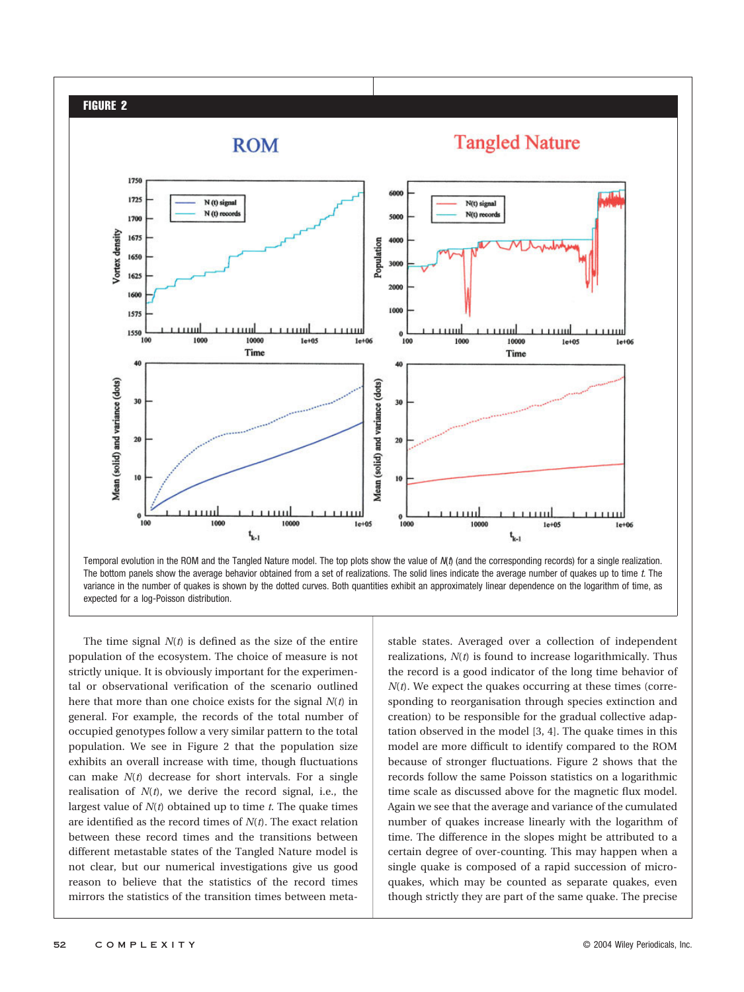## FIGURE 2



Temporal evolution in the ROM and the Tangled Nature model. The top plots show the value of  $M(t)$  (and the corresponding records) for a single realization. The bottom panels show the average behavior obtained from a set of realizations. The solid lines indicate the average number of quakes up to time  $t$ . The variance in the number of quakes is shown by the dotted curves. Both quantities exhibit an approximately linear dependence on the logarithm of time, as expected for a log-Poisson distribution.

The time signal  $N(t)$  is defined as the size of the entire population of the ecosystem. The choice of measure is not strictly unique. It is obviously important for the experimental or observational verification of the scenario outlined here that more than one choice exists for the signal *N*(*t*) in general. For example, the records of the total number of occupied genotypes follow a very similar pattern to the total population. We see in Figure 2 that the population size exhibits an overall increase with time, though fluctuations can make *N*(*t*) decrease for short intervals. For a single realisation of *N*(*t*), we derive the record signal, i.e., the largest value of *N*(*t*) obtained up to time *t*. The quake times are identified as the record times of *N*(*t*). The exact relation between these record times and the transitions between different metastable states of the Tangled Nature model is not clear, but our numerical investigations give us good reason to believe that the statistics of the record times mirrors the statistics of the transition times between metastable states. Averaged over a collection of independent realizations, *N*(*t*) is found to increase logarithmically. Thus the record is a good indicator of the long time behavior of *N*(*t*). We expect the quakes occurring at these times (corresponding to reorganisation through species extinction and creation) to be responsible for the gradual collective adaptation observed in the model [3, 4]. The quake times in this model are more difficult to identify compared to the ROM because of stronger fluctuations. Figure 2 shows that the records follow the same Poisson statistics on a logarithmic time scale as discussed above for the magnetic flux model. Again we see that the average and variance of the cumulated number of quakes increase linearly with the logarithm of time. The difference in the slopes might be attributed to a certain degree of over-counting. This may happen when a single quake is composed of a rapid succession of microquakes, which may be counted as separate quakes, even though strictly they are part of the same quake. The precise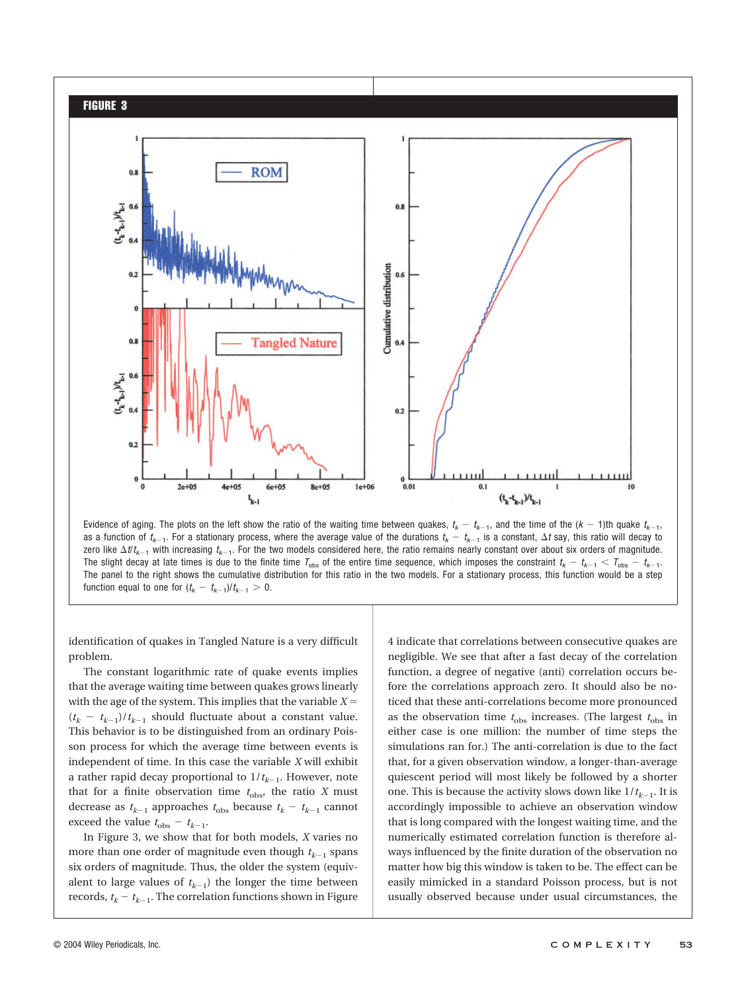### FIGURE 3



Evidence of aging. The plots on the left show the ratio of the waiting time between quakes,  $t_k-t_{k-1},$  and the time of the ( $k-1$ )th quake  $t_{k-1},$ as a function of  $t_{k-1}.$  For a stationary process, where the average value of the durations  $t_k-t_{k-1}$  is a constant,  $\Delta t$  say, this ratio will decay to zero like  $\Delta t' t_{k-1}$  with increasing  $t_{k-1}.$  For the two models considered here, the ratio remains nearly constant over about six orders of magnitude. The slight decay at late times is due to the finite time  $\mathit{T_{obs}}$  of the entire time sequence, which imposes the constraint  $\mathit{t_k} - \mathit{t_{k-1}} < \mathit{T_{obs}} - \mathit{t_{k-1}}.$ The panel to the right shows the cumulative distribution for this ratio in the two models. For a stationary process, this function would be a step function equal to one for  $(t_k - t_{k-1})/t_{k-1} > 0$ .

identification of quakes in Tangled Nature is a very difficult problem.

The constant logarithmic rate of quake events implies that the average waiting time between quakes grows linearly with the age of the system. This implies that the variable *X*  $(t_k - t_{k-1})/t_{k-1}$  should fluctuate about a constant value. This behavior is to be distinguished from an ordinary Poisson process for which the average time between events is independent of time. In this case the variable *X* will exhibit a rather rapid decay proportional to  $1/t_{k-1}$ . However, note that for a finite observation time  $t_{\text{obs}}$ , the ratio *X* must decrease as  $t_{k-1}$  approaches  $t_{obs}$  because  $t_k - t_{k-1}$  cannot exceed the value  $t_{obs} - t_{k-1}$ .

In Figure 3, we show that for both models, *X* varies no more than one order of magnitude even though  $t_{k-1}$  spans six orders of magnitude. Thus, the older the system (equivalent to large values of  $t_{k-1}$ ) the longer the time between records,  $t_k - t_{k-1}$ . The correlation functions shown in Figure 4 indicate that correlations between consecutive quakes are negligible. We see that after a fast decay of the correlation function, a degree of negative (anti) correlation occurs before the correlations approach zero. It should also be noticed that these anti-correlations become more pronounced as the observation time  $t_{\text{obs}}$  increases. (The largest  $t_{\text{obs}}$  in either case is one million: the number of time steps the simulations ran for.) The anti-correlation is due to the fact that, for a given observation window, a longer-than-average quiescent period will most likely be followed by a shorter one. This is because the activity slows down like  $1/t_{k-1}$ . It is accordingly impossible to achieve an observation window that is long compared with the longest waiting time, and the numerically estimated correlation function is therefore always influenced by the finite duration of the observation no matter how big this window is taken to be. The effect can be easily mimicked in a standard Poisson process, but is not usually observed because under usual circumstances, the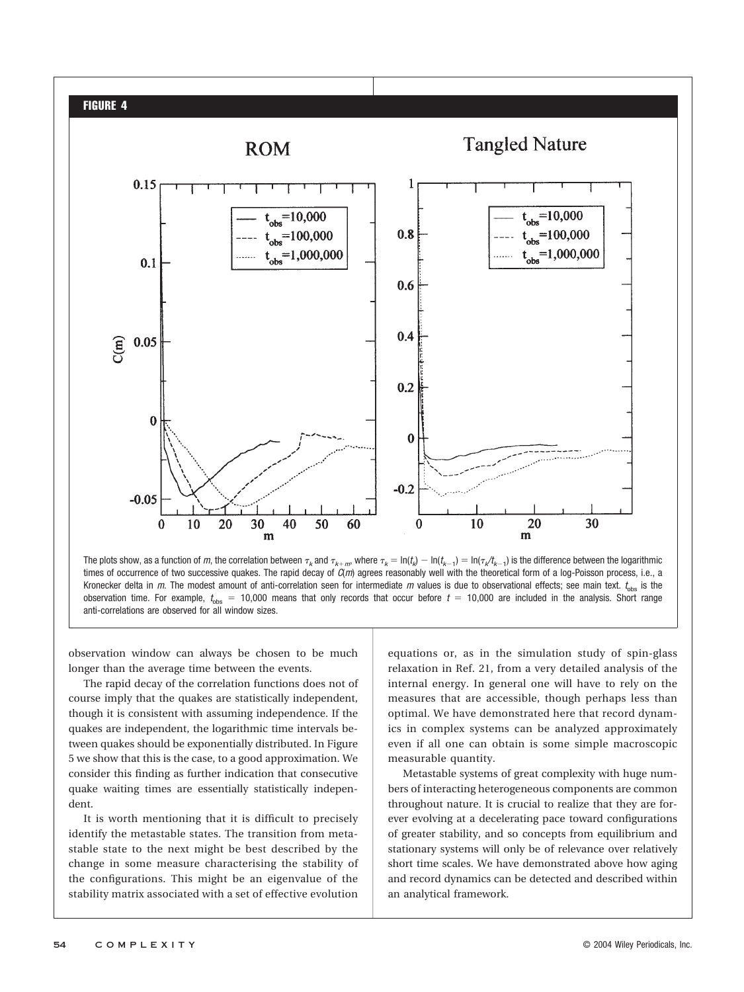

The plots show, as a function of  $m$ , the correlation between  $\tau_k$  and  $\tau_{k+m}$  where  $\tau_k = \ln(t_k) - \ln(t_{k-1}) = \ln(\tau_k/t_{k-1})$  is the difference between the logarithmic times of occurrence of two successive quakes. The rapid decay of  $C(m)$  agrees reasonably well with the theoretical form of a log-Poisson process, i.e., a Kronecker delta in m. The modest amount of anti-correlation seen for intermediate m values is due to observational effects; see main text.  $t_{\text{obs}}$  is the observation time. For example,  $t_{\text{obs}} = 10,000$  means that only records that occur before  $t = 10,000$  are included in the analysis. Short range anti-correlations are observed for all window sizes.

observation window can always be chosen to be much longer than the average time between the events.

The rapid decay of the correlation functions does not of course imply that the quakes are statistically independent, though it is consistent with assuming independence. If the quakes are independent, the logarithmic time intervals between quakes should be exponentially distributed. In Figure 5 we show that this is the case, to a good approximation. We consider this finding as further indication that consecutive quake waiting times are essentially statistically independent.

It is worth mentioning that it is difficult to precisely identify the metastable states. The transition from metastable state to the next might be best described by the change in some measure characterising the stability of the configurations. This might be an eigenvalue of the stability matrix associated with a set of effective evolution

equations or, as in the simulation study of spin-glass relaxation in Ref. 21, from a very detailed analysis of the internal energy. In general one will have to rely on the measures that are accessible, though perhaps less than optimal. We have demonstrated here that record dynamics in complex systems can be analyzed approximately even if all one can obtain is some simple macroscopic measurable quantity.

Metastable systems of great complexity with huge numbers of interacting heterogeneous components are common throughout nature. It is crucial to realize that they are forever evolving at a decelerating pace toward configurations of greater stability, and so concepts from equilibrium and stationary systems will only be of relevance over relatively short time scales. We have demonstrated above how aging and record dynamics can be detected and described within an analytical framework.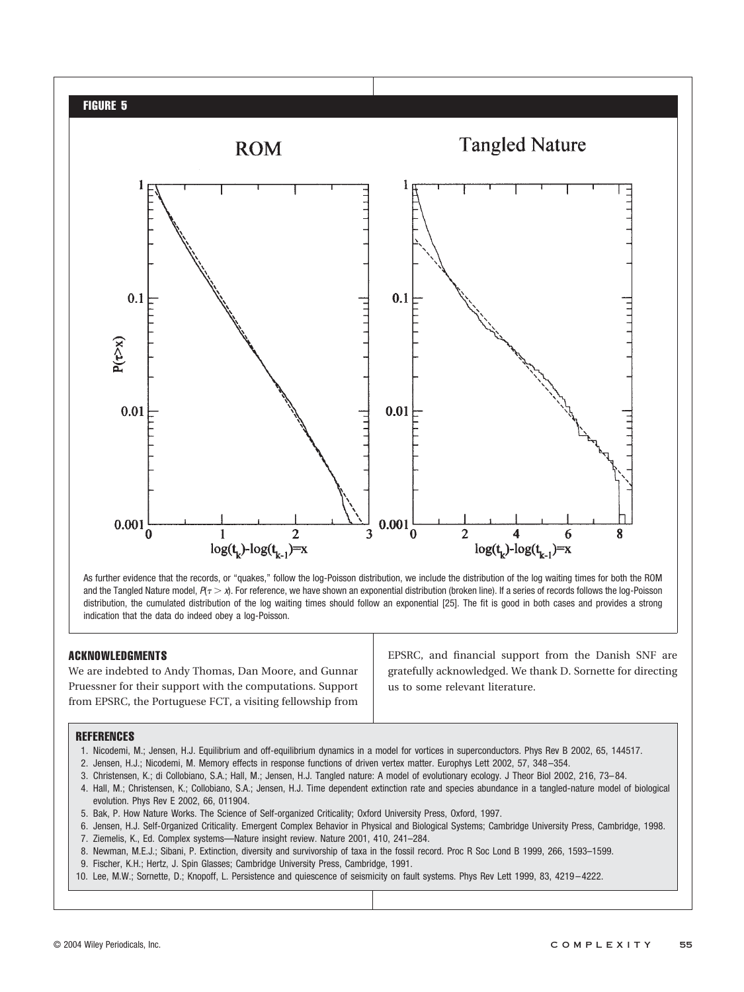



As further evidence that the records, or "quakes," follow the log-Poisson distribution, we include the distribution of the log waiting times for both the ROM and the Tangled Nature model,  $P(\tau > x)$ . For reference, we have shown an exponential distribution (broken line). If a series of records follows the log-Poisson distribution, the cumulated distribution of the log waiting times should follow an exponential [25]. The fit is good in both cases and provides a strong indication that the data do indeed obey a log-Poisson.

#### ACKNOWLEDGMENTS

We are indebted to Andy Thomas, Dan Moore, and Gunnar Pruessner for their support with the computations. Support from EPSRC, the Portuguese FCT, a visiting fellowship from

EPSRC, and financial support from the Danish SNF are gratefully acknowledged. We thank D. Sornette for directing us to some relevant literature.

#### **REFERENCES**

- 1. Nicodemi, M.; Jensen, H.J. Equilibrium and off-equilibrium dynamics in a model for vortices in superconductors. Phys Rev B 2002, 65, 144517.
- 2. Jensen, H.J.; Nicodemi, M. Memory effects in response functions of driven vertex matter. Europhys Lett 2002, 57, 348 –354.
- 3. Christensen, K.; di Collobiano, S.A.; Hall, M.; Jensen, H.J. Tangled nature: A model of evolutionary ecology. J Theor Biol 2002, 216, 73–84.
- 4. Hall, M.; Christensen, K.; Collobiano, S.A.; Jensen, H.J. Time dependent extinction rate and species abundance in a tangled-nature model of biological evolution. Phys Rev E 2002, 66, 011904.
- 5. Bak, P. How Nature Works. The Science of Self-organized Criticality; Oxford University Press, Oxford, 1997.
- 6. Jensen, H.J. Self-Organized Criticality. Emergent Complex Behavior in Physical and Biological Systems; Cambridge University Press, Cambridge, 1998.
- 7. Ziemelis, K., Ed. Complex systems—Nature insight review. Nature 2001, 410, 241–284.
- 8. Newman, M.E.J.; Sibani, P. Extinction, diversity and survivorship of taxa in the fossil record. Proc R Soc Lond B 1999, 266, 1593–1599.
- 9. Fischer, K.H.; Hertz, J. Spin Glasses; Cambridge University Press, Cambridge, 1991.
- 10. Lee, M.W.; Sornette, D.; Knopoff, L. Persistence and quiescence of seismicity on fault systems. Phys Rev Lett 1999, 83, 4219 –4222.